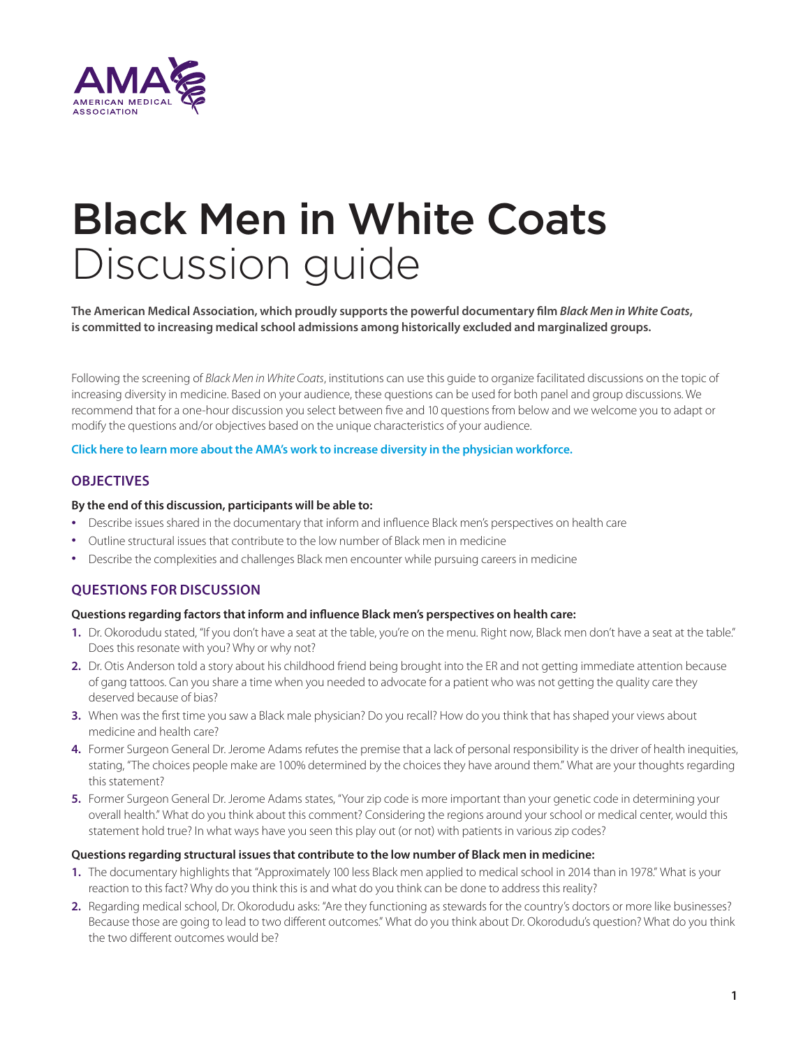

# Black Men in White Coats Discussion guide

**The American Medical Association, which proudly supports the powerful documentary film** *Black Men in White Coats***, is committed to increasing medical school admissions among historically excluded and marginalized groups.**

Following the screening of *Black Men in White Coats*, institutions can use this guide to organize facilitated discussions on the topic of increasing diversity in medicine. Based on your audience, these questions can be used for both panel and group discussions. We recommend that for a one-hour discussion you select between five and 10 questions from below and we welcome you to adapt or modify the questions and/or objectives based on the unique characteristics of your audience.

## **[Click here to learn more about the AMA's work to increase diversity in the physician workforce.](https://www.ama-assn.org/education/medical-school-diversity/ama-equity-medical-education-resources)**

# **OBJECTIVES**

### **By the end of this discussion, participants will be able to:**

- Describe issues shared in the documentary that inform and influence Black men's perspectives on health care
- Outline structural issues that contribute to the low number of Black men in medicine
- Describe the complexities and challenges Black men encounter while pursuing careers in medicine

# **QUESTIONS FOR DISCUSSION**

### **Questions regarding factors that inform and influence Black men's perspectives on health care:**

- 1. Dr. Okorodudu stated, "If you don't have a seat at the table, you're on the menu. Right now, Black men don't have a seat at the table." Does this resonate with you? Why or why not?
- **2.** Dr. Otis Anderson told a story about his childhood friend being brought into the ER and not getting immediate attention because of gang tattoos. Can you share a time when you needed to advocate for a patient who was not getting the quality care they deserved because of bias?
- **3.** When was the first time you saw a Black male physician? Do you recall? How do you think that has shaped your views about medicine and health care?
- **4.** Former Surgeon General Dr. Jerome Adams refutes the premise that a lack of personal responsibility is the driver of health inequities, stating, "The choices people make are 100% determined by the choices they have around them." What are your thoughts regarding this statement?
- **5.** Former Surgeon General Dr. Jerome Adams states, "Your zip code is more important than your genetic code in determining your overall health." What do you think about this comment? Considering the regions around your school or medical center, would this statement hold true? In what ways have you seen this play out (or not) with patients in various zip codes?

### **Questions regarding structural issues that contribute to the low number of Black men in medicine:**

- **1.** The documentary highlights that "Approximately 100 less Black men applied to medical school in 2014 than in 1978." What is your reaction to this fact? Why do you think this is and what do you think can be done to address this reality?
- **2.** Regarding medical school, Dr. Okorodudu asks: "Are they functioning as stewards for the country's doctors or more like businesses? Because those are going to lead to two different outcomes." What do you think about Dr. Okorodudu's question? What do you think the two different outcomes would be?